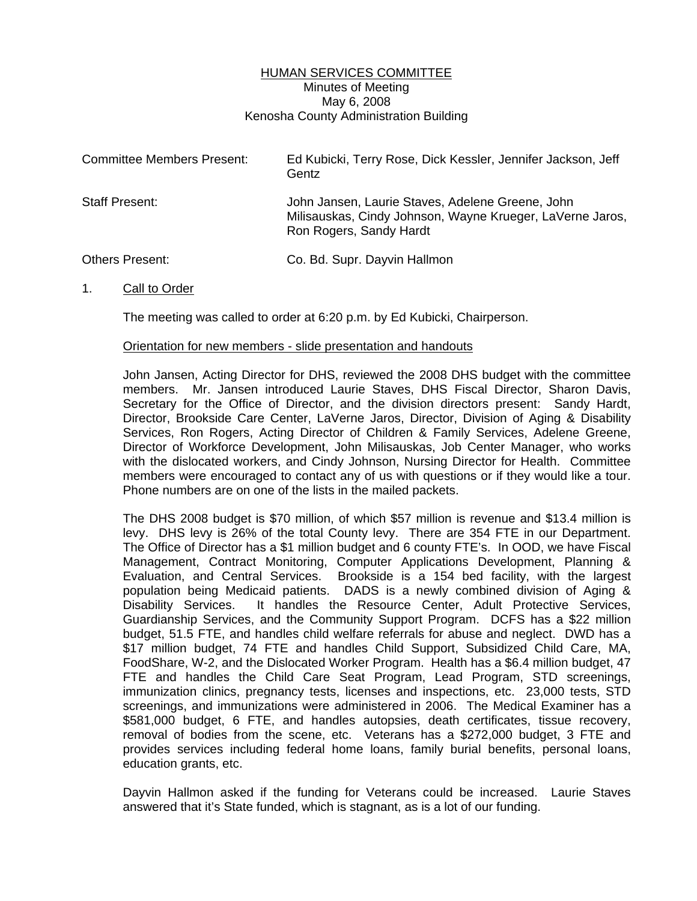## HUMAN SERVICES COMMITTEE Minutes of Meeting May 6, 2008 Kenosha County Administration Building

| <b>Committee Members Present:</b> | Ed Kubicki, Terry Rose, Dick Kessler, Jennifer Jackson, Jeff<br>Gentz                                                                    |
|-----------------------------------|------------------------------------------------------------------------------------------------------------------------------------------|
| Staff Present:                    | John Jansen, Laurie Staves, Adelene Greene, John<br>Milisauskas, Cindy Johnson, Wayne Krueger, LaVerne Jaros,<br>Ron Rogers, Sandy Hardt |
| <b>Others Present:</b>            | Co. Bd. Supr. Dayvin Hallmon                                                                                                             |

1. Call to Order

The meeting was called to order at 6:20 p.m. by Ed Kubicki, Chairperson.

## Orientation for new members - slide presentation and handouts

John Jansen, Acting Director for DHS, reviewed the 2008 DHS budget with the committee members. Mr. Jansen introduced Laurie Staves, DHS Fiscal Director, Sharon Davis, Secretary for the Office of Director, and the division directors present: Sandy Hardt, Director, Brookside Care Center, LaVerne Jaros, Director, Division of Aging & Disability Services, Ron Rogers, Acting Director of Children & Family Services, Adelene Greene, Director of Workforce Development, John Milisauskas, Job Center Manager, who works with the dislocated workers, and Cindy Johnson, Nursing Director for Health. Committee members were encouraged to contact any of us with questions or if they would like a tour. Phone numbers are on one of the lists in the mailed packets.

 The DHS 2008 budget is \$70 million, of which \$57 million is revenue and \$13.4 million is levy. DHS levy is 26% of the total County levy. There are 354 FTE in our Department. The Office of Director has a \$1 million budget and 6 county FTE's. In OOD, we have Fiscal Management, Contract Monitoring, Computer Applications Development, Planning & Evaluation, and Central Services. Brookside is a 154 bed facility, with the largest population being Medicaid patients. DADS is a newly combined division of Aging & Disability Services. It handles the Resource Center, Adult Protective Services, Guardianship Services, and the Community Support Program. DCFS has a \$22 million budget, 51.5 FTE, and handles child welfare referrals for abuse and neglect. DWD has a \$17 million budget, 74 FTE and handles Child Support, Subsidized Child Care, MA, FoodShare, W-2, and the Dislocated Worker Program. Health has a \$6.4 million budget, 47 FTE and handles the Child Care Seat Program, Lead Program, STD screenings, immunization clinics, pregnancy tests, licenses and inspections, etc. 23,000 tests, STD screenings, and immunizations were administered in 2006. The Medical Examiner has a \$581,000 budget, 6 FTE, and handles autopsies, death certificates, tissue recovery, removal of bodies from the scene, etc. Veterans has a \$272,000 budget, 3 FTE and provides services including federal home loans, family burial benefits, personal loans, education grants, etc.

 Dayvin Hallmon asked if the funding for Veterans could be increased. Laurie Staves answered that it's State funded, which is stagnant, as is a lot of our funding.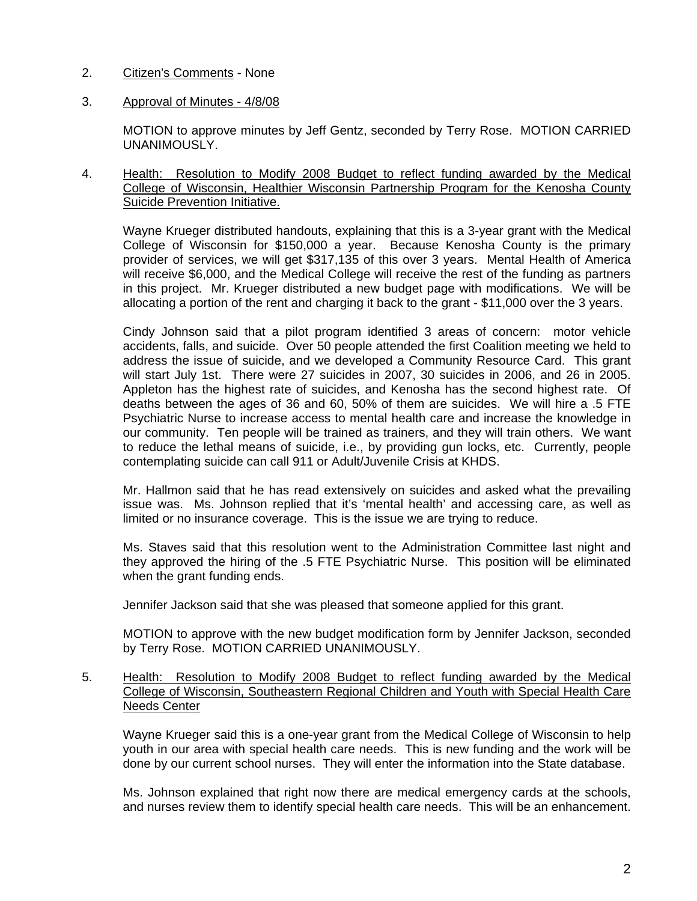## 2. Citizen's Comments - None

## 3. Approval of Minutes - 4/8/08

 MOTION to approve minutes by Jeff Gentz, seconded by Terry Rose. MOTION CARRIED UNANIMOUSLY.

4. Health: Resolution to Modify 2008 Budget to reflect funding awarded by the Medical College of Wisconsin, Healthier Wisconsin Partnership Program for the Kenosha County Suicide Prevention Initiative.

 Wayne Krueger distributed handouts, explaining that this is a 3-year grant with the Medical College of Wisconsin for \$150,000 a year. Because Kenosha County is the primary provider of services, we will get \$317,135 of this over 3 years. Mental Health of America will receive \$6,000, and the Medical College will receive the rest of the funding as partners in this project. Mr. Krueger distributed a new budget page with modifications. We will be allocating a portion of the rent and charging it back to the grant - \$11,000 over the 3 years.

 Cindy Johnson said that a pilot program identified 3 areas of concern: motor vehicle accidents, falls, and suicide. Over 50 people attended the first Coalition meeting we held to address the issue of suicide, and we developed a Community Resource Card. This grant will start July 1st. There were 27 suicides in 2007, 30 suicides in 2006, and 26 in 2005. Appleton has the highest rate of suicides, and Kenosha has the second highest rate. Of deaths between the ages of 36 and 60, 50% of them are suicides. We will hire a .5 FTE Psychiatric Nurse to increase access to mental health care and increase the knowledge in our community. Ten people will be trained as trainers, and they will train others. We want to reduce the lethal means of suicide, i.e., by providing gun locks, etc. Currently, people contemplating suicide can call 911 or Adult/Juvenile Crisis at KHDS.

 Mr. Hallmon said that he has read extensively on suicides and asked what the prevailing issue was. Ms. Johnson replied that it's 'mental health' and accessing care, as well as limited or no insurance coverage. This is the issue we are trying to reduce.

 Ms. Staves said that this resolution went to the Administration Committee last night and they approved the hiring of the .5 FTE Psychiatric Nurse. This position will be eliminated when the grant funding ends.

Jennifer Jackson said that she was pleased that someone applied for this grant.

MOTION to approve with the new budget modification form by Jennifer Jackson, seconded by Terry Rose. MOTION CARRIED UNANIMOUSLY.

5. Health: Resolution to Modify 2008 Budget to reflect funding awarded by the Medical College of Wisconsin, Southeastern Regional Children and Youth with Special Health Care Needs Center

 Wayne Krueger said this is a one-year grant from the Medical College of Wisconsin to help youth in our area with special health care needs. This is new funding and the work will be done by our current school nurses. They will enter the information into the State database.

 Ms. Johnson explained that right now there are medical emergency cards at the schools, and nurses review them to identify special health care needs. This will be an enhancement.